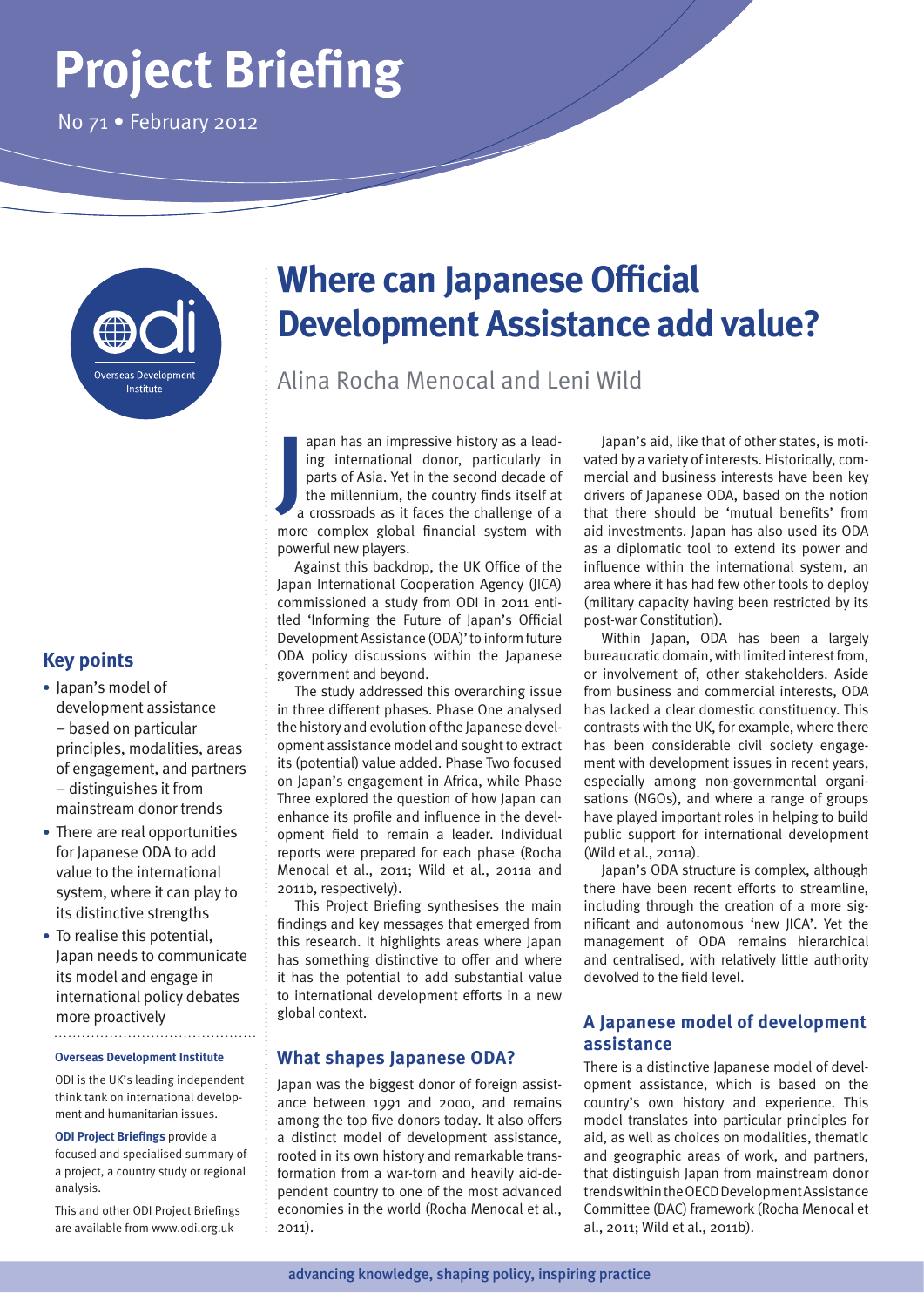# **Project Briefing**

No 71 • February 2012



# **Key points**

- **•** Japan's model of development assistance – based on particular principles, modalities, areas of engagement, and partners – distinguishes it from mainstream donor trends
- **•** There are real opportunities for Japanese ODA to add value to the international system, where it can play to its distinctive strengths
- **•** To realise this potential, Japan needs to communicate its model and engage in international policy debates more proactively

#### **Overseas Development Institute**

ODI is the UK's leading independent think tank on international development and humanitarian issues.

**ODI Project Briefings** provide a

focused and specialised summary of a project, a country study or regional analysis.

This and other ODI Project Briefings are available from www.odi.org.uk

# **Where can Japanese Official Development Assistance add value?**

Alina Rocha Menocal and Leni Wild

**J** apan has an impressive history as a leading international donor, particularly in parts of Asia. Yet in the second decade of the millennium, the country finds itself at a crossroads as it faces the challenge of a more complex global financial system with powerful new players.

Against this backdrop, the UK Office of the Japan International Cooperation Agency (JICA) commissioned a study from ODI in 2011 entitled 'Informing the Future of Japan's Official Development Assistance (ODA)' to inform future ODA policy discussions within the Japanese government and beyond.

The study addressed this overarching issue in three different phases. Phase One analysed the history and evolution of the Japanese development assistance model and sought to extract its (potential) value added. Phase Two focused on Japan's engagement in Africa, while Phase Three explored the question of how Japan can enhance its profile and influence in the development field to remain a leader. Individual reports were prepared for each phase (Rocha Menocal et al., 2011; Wild et al., 2011a and 2011b, respectively).

This Project Briefing synthesises the main findings and key messages that emerged from this research. It highlights areas where Japan has something distinctive to offer and where it has the potential to add substantial value to international development efforts in a new global context.

## **What shapes Japanese ODA?**

Japan was the biggest donor of foreign assistance between 1991 and 2000, and remains among the top five donors today. It also offers a distinct model of development assistance, rooted in its own history and remarkable transformation from a war-torn and heavily aid-dependent country to one of the most advanced economies in the world (Rocha Menocal et al., 2011).

Japan's aid, like that of other states, is motivated by a variety of interests. Historically, commercial and business interests have been key drivers of Japanese ODA, based on the notion that there should be 'mutual benefits' from aid investments. Japan has also used its ODA as a diplomatic tool to extend its power and influence within the international system, an area where it has had few other tools to deploy (military capacity having been restricted by its post-war Constitution).

Within Japan, ODA has been a largely bureaucratic domain, with limited interest from, or involvement of, other stakeholders. Aside from business and commercial interests, ODA has lacked a clear domestic constituency. This contrasts with the UK, for example, where there has been considerable civil society engagement with development issues in recent years, especially among non-governmental organisations (NGOs), and where a range of groups have played important roles in helping to build public support for international development (Wild et al., 2011a).

Japan's ODA structure is complex, although there have been recent efforts to streamline, including through the creation of a more significant and autonomous 'new JICA'. Yet the management of ODA remains hierarchical and centralised, with relatively little authority devolved to the field level.

# **A Japanese model of development assistance**

There is a distinctive Japanese model of development assistance, which is based on the country's own history and experience. This model translates into particular principles for aid, as well as choices on modalities, thematic and geographic areas of work, and partners, that distinguish Japan from mainstream donor trends within the OECD Development Assistance Committee (DAC) framework (Rocha Menocal et al., 2011; Wild et al., 2011b).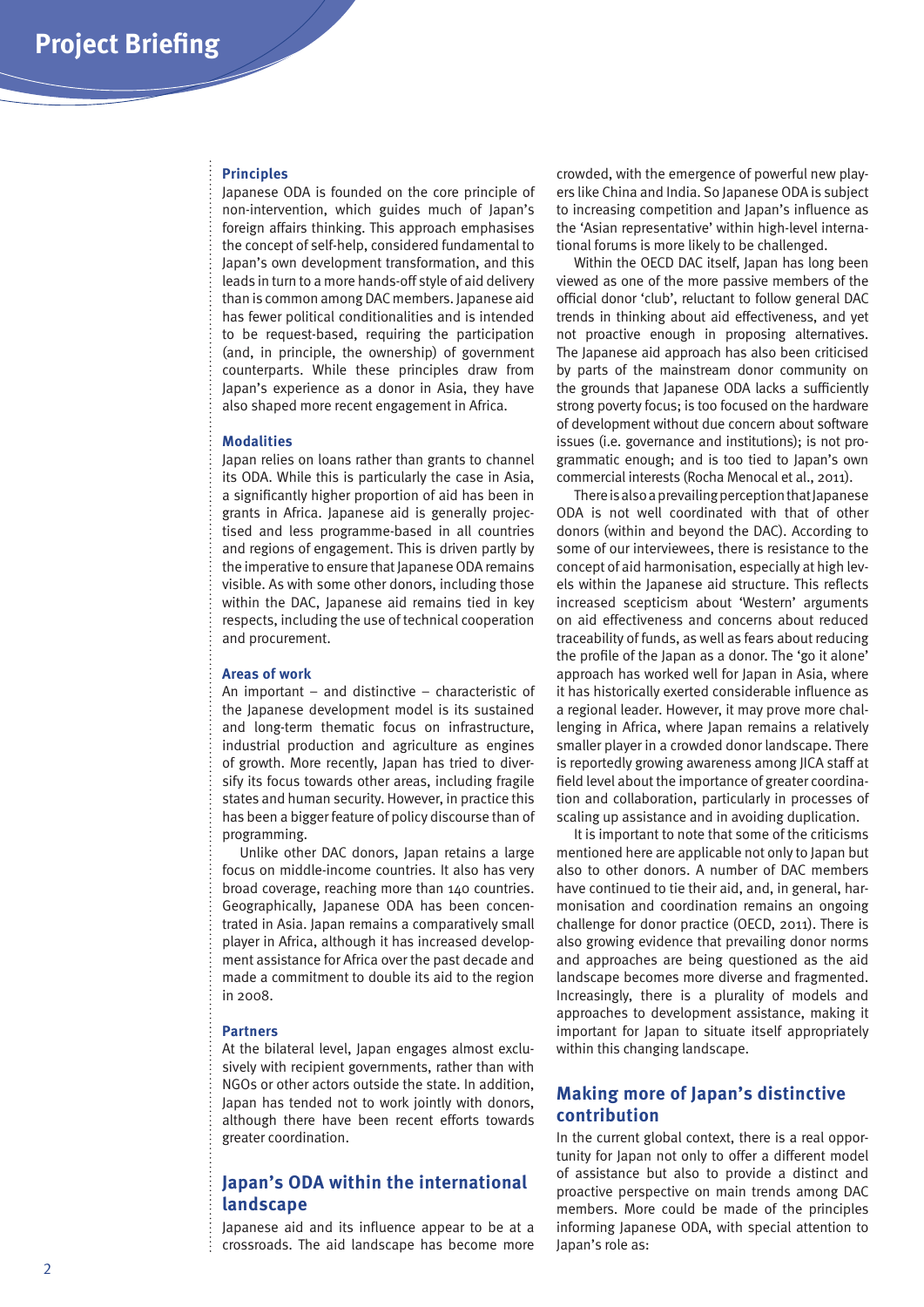#### **Principles**

Japanese ODA is founded on the core principle of non-intervention, which guides much of Japan's foreign affairs thinking. This approach emphasises the concept of self-help, considered fundamental to Japan's own development transformation, and this leads in turn to a more hands-off style of aid delivery than is common among DAC members. Japanese aid has fewer political conditionalities and is intended to be request-based, requiring the participation (and, in principle, the ownership) of government counterparts. While these principles draw from Japan's experience as a donor in Asia, they have also shaped more recent engagement in Africa.

#### **Modalities**

Japan relies on loans rather than grants to channel its ODA. While this is particularly the case in Asia, a significantly higher proportion of aid has been in grants in Africa. Japanese aid is generally projectised and less programme-based in all countries and regions of engagement. This is driven partly by the imperative to ensure that Japanese ODA remains visible. As with some other donors, including those within the DAC, Japanese aid remains tied in key respects, including the use of technical cooperation and procurement.

#### **Areas of work**

An important – and distinctive – characteristic of the Japanese development model is its sustained and long-term thematic focus on infrastructure, industrial production and agriculture as engines of growth. More recently, Japan has tried to diversify its focus towards other areas, including fragile states and human security. However, in practice this has been a bigger feature of policy discourse than of programming.

Unlike other DAC donors, Japan retains a large focus on middle-income countries. It also has very broad coverage, reaching more than 140 countries. Geographically, Japanese ODA has been concentrated in Asia. Japan remains a comparatively small player in Africa, although it has increased development assistance for Africa over the past decade and made a commitment to double its aid to the region in 2008.

#### **Partners**

At the bilateral level, Japan engages almost exclusively with recipient governments, rather than with NGOs or other actors outside the state. In addition, Japan has tended not to work jointly with donors, although there have been recent efforts towards greater coordination.

# **Japan's ODA within the international landscape**

Japanese aid and its influence appear to be at a crossroads. The aid landscape has become more

crowded, with the emergence of powerful new players like China and India. So Japanese ODA is subject to increasing competition and Japan's influence as the 'Asian representative' within high-level international forums is more likely to be challenged.

Within the OECD DAC itself, Japan has long been viewed as one of the more passive members of the official donor 'club', reluctant to follow general DAC trends in thinking about aid effectiveness, and yet not proactive enough in proposing alternatives. The Japanese aid approach has also been criticised by parts of the mainstream donor community on the grounds that Japanese ODA lacks a sufficiently strong poverty focus; is too focused on the hardware of development without due concern about software issues (i.e. governance and institutions); is not programmatic enough; and is too tied to Japan's own commercial interests (Rocha Menocal et al., 2011).

There is also a prevailing perception that Japanese ODA is not well coordinated with that of other donors (within and beyond the DAC). According to some of our interviewees, there is resistance to the concept of aid harmonisation, especially at high levels within the Japanese aid structure. This reflects increased scepticism about 'Western' arguments on aid effectiveness and concerns about reduced traceability of funds, as well as fears about reducing the profile of the Japan as a donor. The 'go it alone' approach has worked well for Japan in Asia, where it has historically exerted considerable influence as a regional leader. However, it may prove more challenging in Africa, where Japan remains a relatively smaller player in a crowded donor landscape. There is reportedly growing awareness among JICA staff at field level about the importance of greater coordination and collaboration, particularly in processes of scaling up assistance and in avoiding duplication.

It is important to note that some of the criticisms mentioned here are applicable not only to Japan but also to other donors. A number of DAC members have continued to tie their aid, and, in general, harmonisation and coordination remains an ongoing challenge for donor practice (OECD, 2011). There is also growing evidence that prevailing donor norms and approaches are being questioned as the aid landscape becomes more diverse and fragmented. Increasingly, there is a plurality of models and approaches to development assistance, making it important for Japan to situate itself appropriately within this changing landscape.

# **Making more of Japan's distinctive contribution**

In the current global context, there is a real opportunity for Japan not only to offer a different model of assistance but also to provide a distinct and proactive perspective on main trends among DAC members. More could be made of the principles informing Japanese ODA, with special attention to Japan's role as: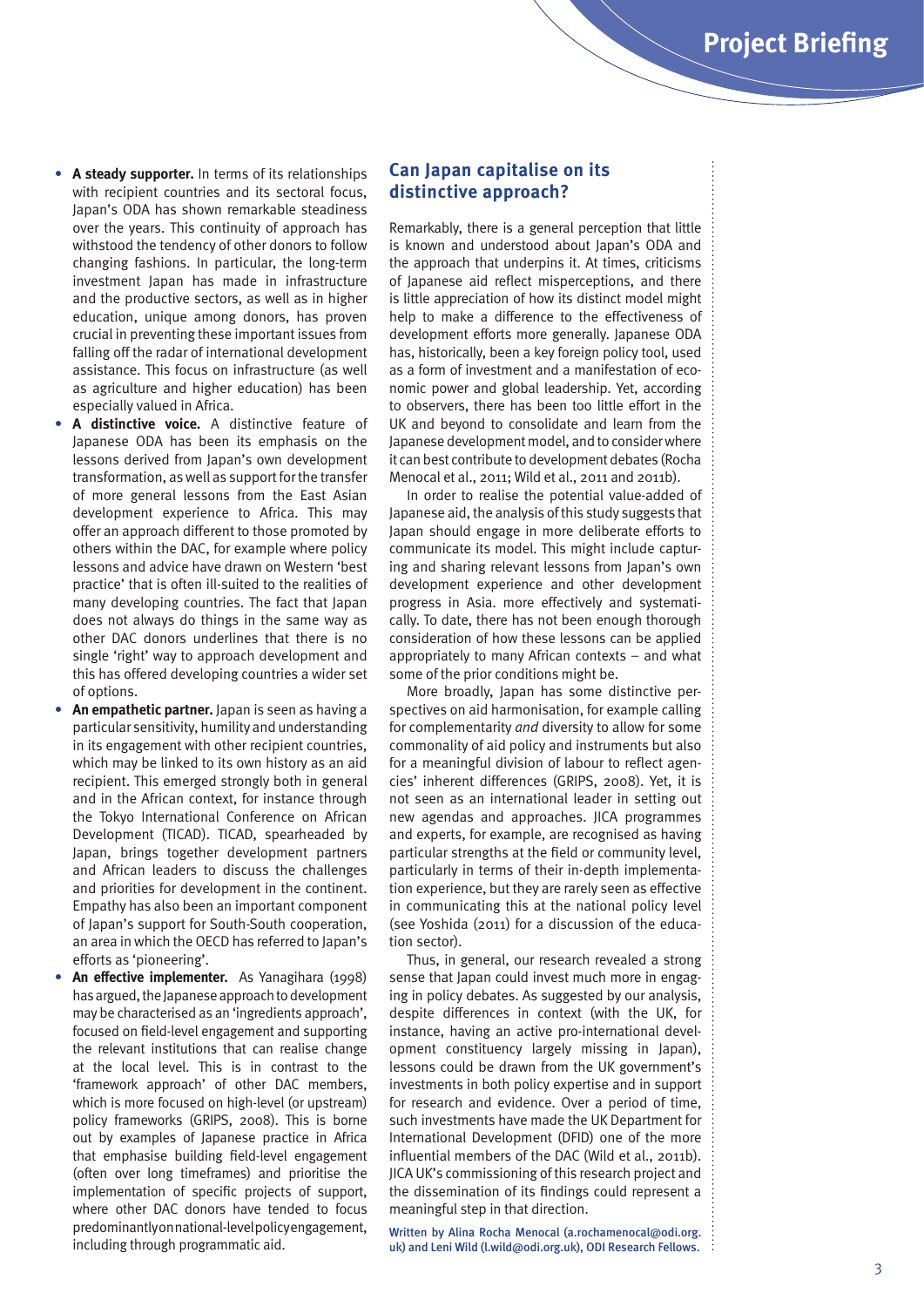- **• A steady supporter.** In terms of its relationships with recipient countries and its sectoral focus, Japan's ODA has shown remarkable steadiness over the years. This continuity of approach has withstood the tendency of other donors to follow changing fashions. In particular, the long-term investment Japan has made in infrastructure and the productive sectors, as well as in higher education, unique among donors, has proven crucial in preventing these important issues from falling off the radar of international development assistance. This focus on infrastructure (as well as agriculture and higher education) has been especially valued in Africa.
- **• A distinctive voice.** A distinctive feature of Japanese ODA has been its emphasis on the lessons derived from Japan's own development transformation, as well as support for the transfer of more general lessons from the East Asian development experience to Africa. This may offer an approach different to those promoted by others within the DAC, for example where policy lessons and advice have drawn on Western 'best practice' that is often ill-suited to the realities of many developing countries. The fact that Japan does not always do things in the same way as other DAC donors underlines that there is no single 'right' way to approach development and this has offered developing countries a wider set of options.
- **• An empathetic partner.** Japan is seen as having a particular sensitivity, humility and understanding in its engagement with other recipient countries, which may be linked to its own history as an aid recipient. This emerged strongly both in general and in the African context, for instance through the Tokyo International Conference on African Development (TICAD). TICAD, spearheaded by Japan, brings together development partners and African leaders to discuss the challenges and priorities for development in the continent. Empathy has also been an important component of Japan's support for South-South cooperation, an area in which the OECD has referred to Japan's efforts as 'pioneering'.
- **• An effective implementer.** As Yanagihara (1998) has argued, the Japanese approach to development may be characterised as an 'ingredients approach', focused on field-level engagement and supporting the relevant institutions that can realise change at the local level. This is in contrast to the 'framework approach' of other DAC members, which is more focused on high-level (or upstream) policy frameworks (GRIPS, 2008). This is borne out by examples of Japanese practice in Africa that emphasise building field-level engagement (often over long timeframes) and prioritise the implementation of specific projects of support, where other DAC donors have tended to focus predominantly on national-level policy engagement, including through programmatic aid.

### **Can Japan capitalise on its distinctive approach?**

Remarkably, there is a general perception that little is known and understood about Japan's ODA and the approach that underpins it. At times, criticisms of Japanese aid reflect misperceptions, and there is little appreciation of how its distinct model might help to make a difference to the effectiveness of development efforts more generally. Japanese ODA has, historically, been a key foreign policy tool, used as a form of investment and a manifestation of economic power and global leadership. Yet, according to observers, there has been too little effort in the UK and beyond to consolidate and learn from the Japanese development model, and to consider where it can best contribute to development debates (Rocha Menocal et al., 2011; Wild et al., 2011 and 2011b).

In order to realise the potential value-added of Japanese aid, the analysis of this study suggests that Japan should engage in more deliberate efforts to communicate its model. This might include capturing and sharing relevant lessons from Japan's own development experience and other development progress in Asia. more effectively and systematically. To date, there has not been enough thorough consideration of how these lessons can be applied appropriately to many African contexts – and what some of the prior conditions might be.

More broadly, Japan has some distinctive perspectives on aid harmonisation, for example calling for complementarity *and* diversity to allow for some commonality of aid policy and instruments but also for a meaningful division of labour to reflect agencies' inherent differences (GRIPS, 2008). Yet, it is not seen as an international leader in setting out new agendas and approaches. JICA programmes and experts, for example, are recognised as having particular strengths at the field or community level, particularly in terms of their in-depth implementation experience, but they are rarely seen as effective in communicating this at the national policy level (see Yoshida (2011) for a discussion of the education sector).

Thus, in general, our research revealed a strong sense that Japan could invest much more in engaging in policy debates. As suggested by our analysis, despite differences in context (with the UK, for instance, having an active pro-international development constituency largely missing in Japan), lessons could be drawn from the UK government's investments in both policy expertise and in support for research and evidence. Over a period of time, such investments have made the UK Department for International Development (DFID) one of the more influential members of the DAC (Wild et al., 2011b). JICA UK's commissioning of this research project and the dissemination of its findings could represent a meaningful step in that direction.

Written by Alina Rocha Menocal (a.rochamenocal@odi.org. uk) and Leni Wild (l.wild@odi.org.uk), ODI Research Fellows. :